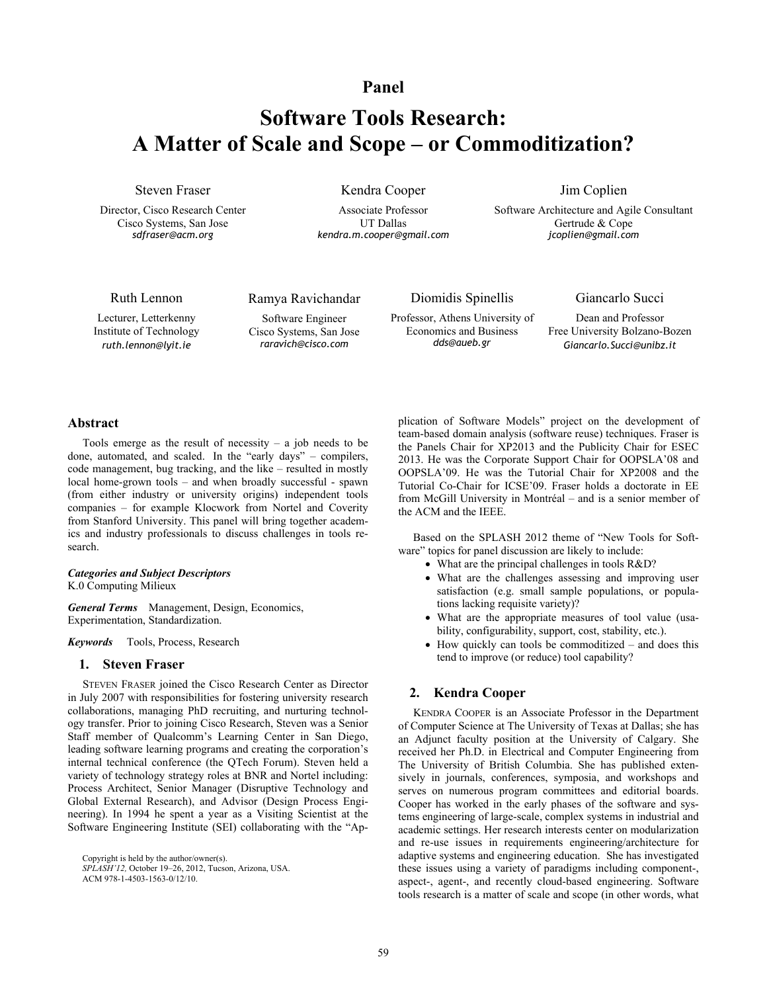**Panel** 

# **Software Tools Research: A Matter of Scale and Scope – or Commoditization?**

Steven Fraser

Director, Cisco Research Center Cisco Systems, San Jose *sdfraser@acm.org* 

Kendra Cooper

Associate Professor UT Dallas *kendra.m.cooper@gmail.com*  Jim Coplien

Software Architecture and Agile Consultant Gertrude & Cope *jcoplien@gmail.com* 

Ruth Lennon

Ramya Ravichandar

Lecturer, Letterkenny Institute of Technology *ruth.lennon@lyit.ie* 

Software Engineer Cisco Systems, San Jose *raravich@cisco.com* 

Professor, Athens University of Economics and Business *dds@aueb.gr* 

Diomidis Spinellis

Giancarlo Succi

Dean and Professor Free University Bolzano-Bozen *Giancarlo.Succi@unibz.it*

### **Abstract**

Tools emerge as the result of necessity  $-$  a job needs to be done, automated, and scaled. In the "early days" – compilers, code management, bug tracking, and the like – resulted in mostly local home-grown tools – and when broadly successful - spawn (from either industry or university origins) independent tools companies – for example Klocwork from Nortel and Coverity from Stanford University. This panel will bring together academics and industry professionals to discuss challenges in tools research.

#### *Categories and Subject Descriptors* K.0 Computing Milieux

*General Terms* Management, Design, Economics, Experimentation, Standardization.

*Keywords* Tools, Process, Research

#### **1. Steven Fraser**

STEVEN FRASER joined the Cisco Research Center as Director in July 2007 with responsibilities for fostering university research collaborations, managing PhD recruiting, and nurturing technology transfer. Prior to joining Cisco Research, Steven was a Senior Staff member of Qualcomm's Learning Center in San Diego, leading software learning programs and creating the corporation's internal technical conference (the QTech Forum). Steven held a variety of technology strategy roles at BNR and Nortel including: Process Architect, Senior Manager (Disruptive Technology and Global External Research), and Advisor (Design Process Engineering). In 1994 he spent a year as a Visiting Scientist at the Software Engineering Institute (SEI) collaborating with the "Ap-

Copyright is held by the author/owner(s).

*SPLASH'12,* October 19–26, 2012, Tucson, Arizona, USA.

ACM 978-1-4503-1563-0/12/10.

plication of Software Models" project on the development of team-based domain analysis (software reuse) techniques. Fraser is the Panels Chair for XP2013 and the Publicity Chair for ESEC 2013. He was the Corporate Support Chair for OOPSLA'08 and OOPSLA'09. He was the Tutorial Chair for XP2008 and the Tutorial Co-Chair for ICSE'09. Fraser holds a doctorate in EE from McGill University in Montréal – and is a senior member of the ACM and the IEEE.

Based on the SPLASH 2012 theme of "New Tools for Software" topics for panel discussion are likely to include:

- What are the principal challenges in tools R&D?
- What are the challenges assessing and improving user satisfaction (e.g. small sample populations, or populations lacking requisite variety)?
- What are the appropriate measures of tool value (usability, configurability, support, cost, stability, etc.).
- $\bullet$  How quickly can tools be commoditized and does this tend to improve (or reduce) tool capability?

## **2. Kendra Cooper**

KENDRA COOPER is an Associate Professor in the Department of Computer Science at The University of Texas at Dallas; she has an Adjunct faculty position at the University of Calgary. She received her Ph.D. in Electrical and Computer Engineering from The University of British Columbia. She has published extensively in journals, conferences, symposia, and workshops and serves on numerous program committees and editorial boards. Cooper has worked in the early phases of the software and systems engineering of large-scale, complex systems in industrial and academic settings. Her research interests center on modularization and re-use issues in requirements engineering/architecture for adaptive systems and engineering education. She has investigated these issues using a variety of paradigms including component-, aspect-, agent-, and recently cloud-based engineering. Software tools research is a matter of scale and scope (in other words, what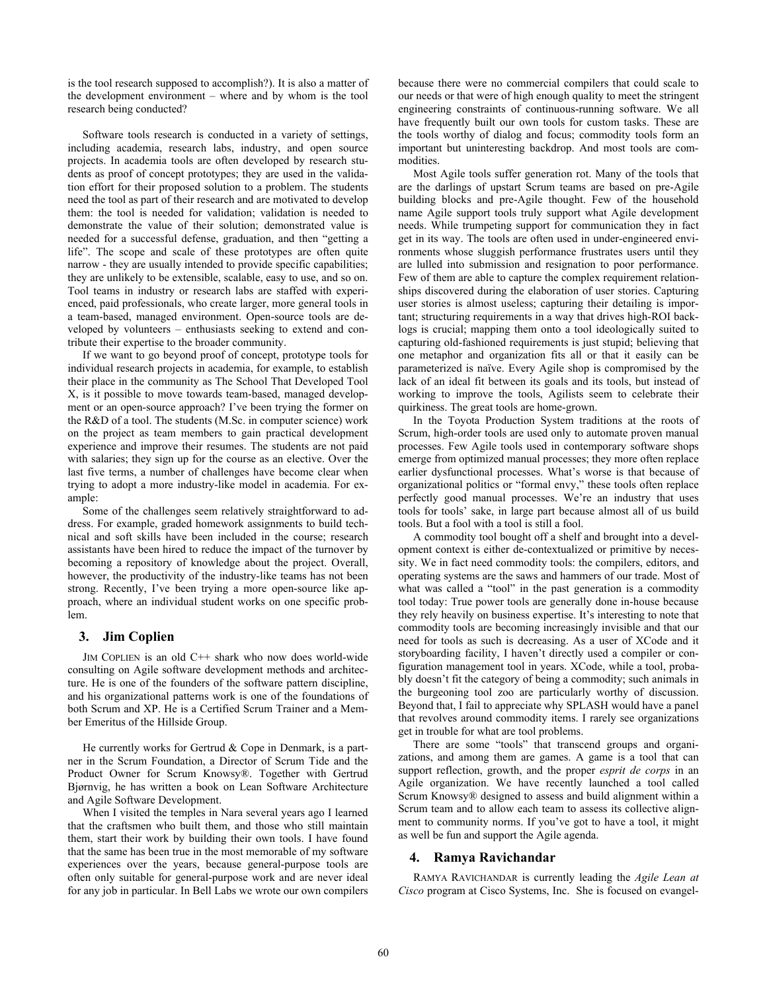is the tool research supposed to accomplish?). It is also a matter of the development environment – where and by whom is the tool research being conducted?

Software tools research is conducted in a variety of settings, including academia, research labs, industry, and open source projects. In academia tools are often developed by research students as proof of concept prototypes; they are used in the validation effort for their proposed solution to a problem. The students need the tool as part of their research and are motivated to develop them: the tool is needed for validation; validation is needed to demonstrate the value of their solution; demonstrated value is needed for a successful defense, graduation, and then "getting a life". The scope and scale of these prototypes are often quite narrow - they are usually intended to provide specific capabilities; they are unlikely to be extensible, scalable, easy to use, and so on. Tool teams in industry or research labs are staffed with experienced, paid professionals, who create larger, more general tools in a team-based, managed environment. Open-source tools are developed by volunteers – enthusiasts seeking to extend and contribute their expertise to the broader community.

If we want to go beyond proof of concept, prototype tools for individual research projects in academia, for example, to establish their place in the community as The School That Developed Tool X, is it possible to move towards team-based, managed development or an open-source approach? I've been trying the former on the R&D of a tool. The students (M.Sc. in computer science) work on the project as team members to gain practical development experience and improve their resumes. The students are not paid with salaries; they sign up for the course as an elective. Over the last five terms, a number of challenges have become clear when trying to adopt a more industry-like model in academia. For example:

Some of the challenges seem relatively straightforward to address. For example, graded homework assignments to build technical and soft skills have been included in the course; research assistants have been hired to reduce the impact of the turnover by becoming a repository of knowledge about the project. Overall, however, the productivity of the industry-like teams has not been strong. Recently, I've been trying a more open-source like approach, where an individual student works on one specific problem.

### **3. Jim Coplien**

JIM COPLIEN is an old C++ shark who now does world-wide consulting on Agile software development methods and architecture. He is one of the founders of the software pattern discipline, and his organizational patterns work is one of the foundations of both Scrum and XP. He is a Certified Scrum Trainer and a Member Emeritus of the Hillside Group.

He currently works for Gertrud & Cope in Denmark, is a partner in the Scrum Foundation, a Director of Scrum Tide and the Product Owner for Scrum Knowsy®. Together with Gertrud Bjørnvig, he has written a book on Lean Software Architecture and Agile Software Development.

When I visited the temples in Nara several years ago I learned that the craftsmen who built them, and those who still maintain them, start their work by building their own tools. I have found that the same has been true in the most memorable of my software experiences over the years, because general-purpose tools are often only suitable for general-purpose work and are never ideal for any job in particular. In Bell Labs we wrote our own compilers

because there were no commercial compilers that could scale to our needs or that were of high enough quality to meet the stringent engineering constraints of continuous-running software. We all have frequently built our own tools for custom tasks. These are the tools worthy of dialog and focus; commodity tools form an important but uninteresting backdrop. And most tools are commodities.

Most Agile tools suffer generation rot. Many of the tools that are the darlings of upstart Scrum teams are based on pre-Agile building blocks and pre-Agile thought. Few of the household name Agile support tools truly support what Agile development needs. While trumpeting support for communication they in fact get in its way. The tools are often used in under-engineered environments whose sluggish performance frustrates users until they are lulled into submission and resignation to poor performance. Few of them are able to capture the complex requirement relationships discovered during the elaboration of user stories. Capturing user stories is almost useless; capturing their detailing is important; structuring requirements in a way that drives high-ROI backlogs is crucial; mapping them onto a tool ideologically suited to capturing old-fashioned requirements is just stupid; believing that one metaphor and organization fits all or that it easily can be parameterized is naïve. Every Agile shop is compromised by the lack of an ideal fit between its goals and its tools, but instead of working to improve the tools, Agilists seem to celebrate their quirkiness. The great tools are home-grown.

In the Toyota Production System traditions at the roots of Scrum, high-order tools are used only to automate proven manual processes. Few Agile tools used in contemporary software shops emerge from optimized manual processes; they more often replace earlier dysfunctional processes. What's worse is that because of organizational politics or "formal envy," these tools often replace perfectly good manual processes. We're an industry that uses tools for tools' sake, in large part because almost all of us build tools. But a fool with a tool is still a fool.

A commodity tool bought off a shelf and brought into a development context is either de-contextualized or primitive by necessity. We in fact need commodity tools: the compilers, editors, and operating systems are the saws and hammers of our trade. Most of what was called a "tool" in the past generation is a commodity tool today: True power tools are generally done in-house because they rely heavily on business expertise. It's interesting to note that commodity tools are becoming increasingly invisible and that our need for tools as such is decreasing. As a user of XCode and it storyboarding facility, I haven't directly used a compiler or configuration management tool in years. XCode, while a tool, probably doesn't fit the category of being a commodity; such animals in the burgeoning tool zoo are particularly worthy of discussion. Beyond that, I fail to appreciate why SPLASH would have a panel that revolves around commodity items. I rarely see organizations get in trouble for what are tool problems.

There are some "tools" that transcend groups and organizations, and among them are games. A game is a tool that can support reflection, growth, and the proper *esprit de corps* in an Agile organization. We have recently launched a tool called Scrum Knowsy® designed to assess and build alignment within a Scrum team and to allow each team to assess its collective alignment to community norms. If you've got to have a tool, it might as well be fun and support the Agile agenda.

### **4. Ramya Ravichandar**

RAMYA RAVICHANDAR is currently leading the *Agile Lean at Cisco* program at Cisco Systems, Inc. She is focused on evangel-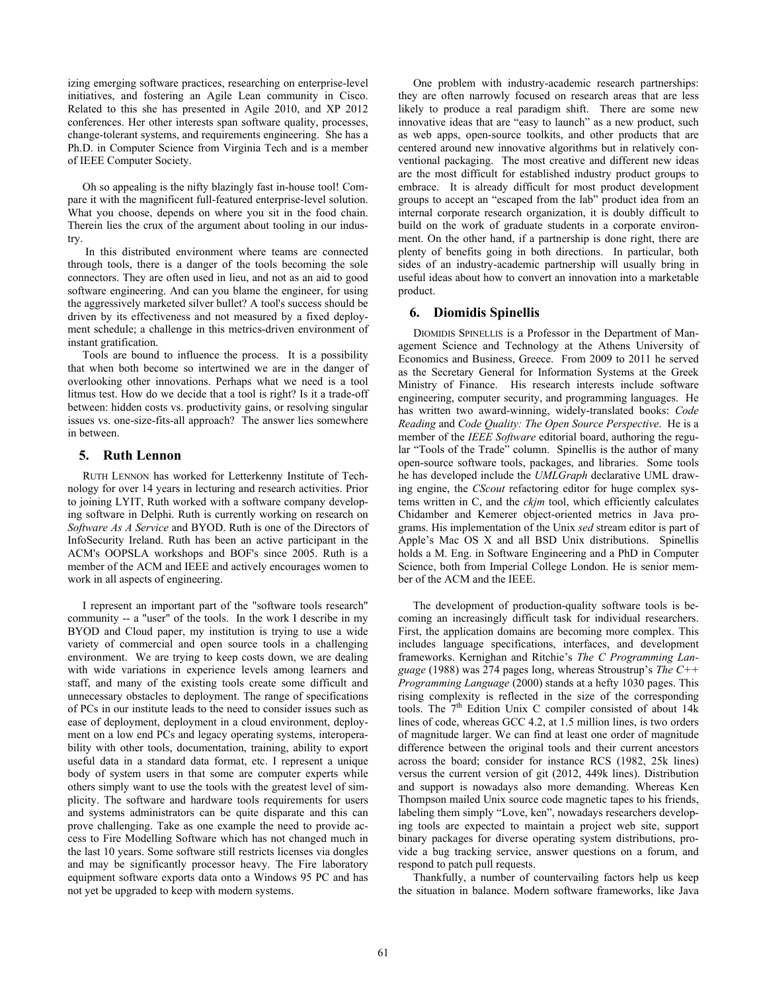izing emerging software practices, researching on enterprise-level initiatives, and fostering an Agile Lean community in Cisco. Related to this she has presented in Agile 2010, and XP 2012 conferences. Her other interests span software quality, processes, change-tolerant systems, and requirements engineering. She has a Ph.D. in Computer Science from Virginia Tech and is a member of IEEE Computer Society.

Oh so appealing is the nifty blazingly fast in-house tool! Compare it with the magnificent full-featured enterprise-level solution. What you choose, depends on where you sit in the food chain. Therein lies the crux of the argument about tooling in our industry.

 In this distributed environment where teams are connected through tools, there is a danger of the tools becoming the sole connectors. They are often used in lieu, and not as an aid to good software engineering. And can you blame the engineer, for using the aggressively marketed silver bullet? A tool's success should be driven by its effectiveness and not measured by a fixed deployment schedule; a challenge in this metrics-driven environment of instant gratification.

Tools are bound to influence the process. It is a possibility that when both become so intertwined we are in the danger of overlooking other innovations. Perhaps what we need is a tool litmus test. How do we decide that a tool is right? Is it a trade-off between: hidden costs vs. productivity gains, or resolving singular issues vs. one-size-fits-all approach? The answer lies somewhere in between.

### **5. Ruth Lennon**

RUTH LENNON has worked for Letterkenny Institute of Technology for over 14 years in lecturing and research activities. Prior to joining LYIT, Ruth worked with a software company developing software in Delphi. Ruth is currently working on research on *Software As A Service* and BYOD. Ruth is one of the Directors of InfoSecurity Ireland. Ruth has been an active participant in the ACM's OOPSLA workshops and BOF's since 2005. Ruth is a member of the ACM and IEEE and actively encourages women to work in all aspects of engineering.

I represent an important part of the "software tools research" community -- a "user" of the tools. In the work I describe in my BYOD and Cloud paper, my institution is trying to use a wide variety of commercial and open source tools in a challenging environment. We are trying to keep costs down, we are dealing with wide variations in experience levels among learners and staff, and many of the existing tools create some difficult and unnecessary obstacles to deployment. The range of specifications of PCs in our institute leads to the need to consider issues such as ease of deployment, deployment in a cloud environment, deployment on a low end PCs and legacy operating systems, interoperability with other tools, documentation, training, ability to export useful data in a standard data format, etc. I represent a unique body of system users in that some are computer experts while others simply want to use the tools with the greatest level of simplicity. The software and hardware tools requirements for users and systems administrators can be quite disparate and this can prove challenging. Take as one example the need to provide access to Fire Modelling Software which has not changed much in the last 10 years. Some software still restricts licenses via dongles and may be significantly processor heavy. The Fire laboratory equipment software exports data onto a Windows 95 PC and has not yet be upgraded to keep with modern systems.

One problem with industry-academic research partnerships: they are often narrowly focused on research areas that are less likely to produce a real paradigm shift. There are some new innovative ideas that are "easy to launch" as a new product, such as web apps, open-source toolkits, and other products that are centered around new innovative algorithms but in relatively conventional packaging. The most creative and different new ideas are the most difficult for established industry product groups to embrace. It is already difficult for most product development groups to accept an "escaped from the lab" product idea from an internal corporate research organization, it is doubly difficult to build on the work of graduate students in a corporate environment. On the other hand, if a partnership is done right, there are plenty of benefits going in both directions. In particular, both sides of an industry-academic partnership will usually bring in useful ideas about how to convert an innovation into a marketable product.

#### **6. Diomidis Spinellis**

DIOMIDIS SPINELLIS is a Professor in the Department of Management Science and Technology at the Athens University of Economics and Business, Greece. From 2009 to 2011 he served as the Secretary General for Information Systems at the Greek Ministry of Finance. His research interests include software engineering, computer security, and programming languages. He has written two award-winning, widely-translated books: *Code Reading* and *Code Quality: The Open Source Perspective*. He is a member of the *IEEE Software* editorial board, authoring the regular "Tools of the Trade" column. Spinellis is the author of many open-source software tools, packages, and libraries. Some tools he has developed include the *UMLGraph* declarative UML drawing engine, the *CScout* refactoring editor for huge complex systems written in C, and the *ckjm* tool, which efficiently calculates Chidamber and Kemerer object-oriented metrics in Java programs. His implementation of the Unix *sed* stream editor is part of Apple's Mac OS X and all BSD Unix distributions. Spinellis holds a M. Eng. in Software Engineering and a PhD in Computer Science, both from Imperial College London. He is senior member of the ACM and the IEEE.

The development of production-quality software tools is becoming an increasingly difficult task for individual researchers. First, the application domains are becoming more complex. This includes language specifications, interfaces, and development frameworks. Kernighan and Ritchie's *The C Programming Language* (1988) was 274 pages long, whereas Stroustrup's *The C++ Programming Language* (2000) stands at a hefty 1030 pages. This rising complexity is reflected in the size of the corresponding tools. The 7<sup>th</sup> Edition Unix C compiler consisted of about 14k lines of code, whereas GCC 4.2, at 1.5 million lines, is two orders of magnitude larger. We can find at least one order of magnitude difference between the original tools and their current ancestors across the board; consider for instance RCS (1982, 25k lines) versus the current version of git (2012, 449k lines). Distribution and support is nowadays also more demanding. Whereas Ken Thompson mailed Unix source code magnetic tapes to his friends, labeling them simply "Love, ken", nowadays researchers developing tools are expected to maintain a project web site, support binary packages for diverse operating system distributions, provide a bug tracking service, answer questions on a forum, and respond to patch pull requests.

Thankfully, a number of countervailing factors help us keep the situation in balance. Modern software frameworks, like Java